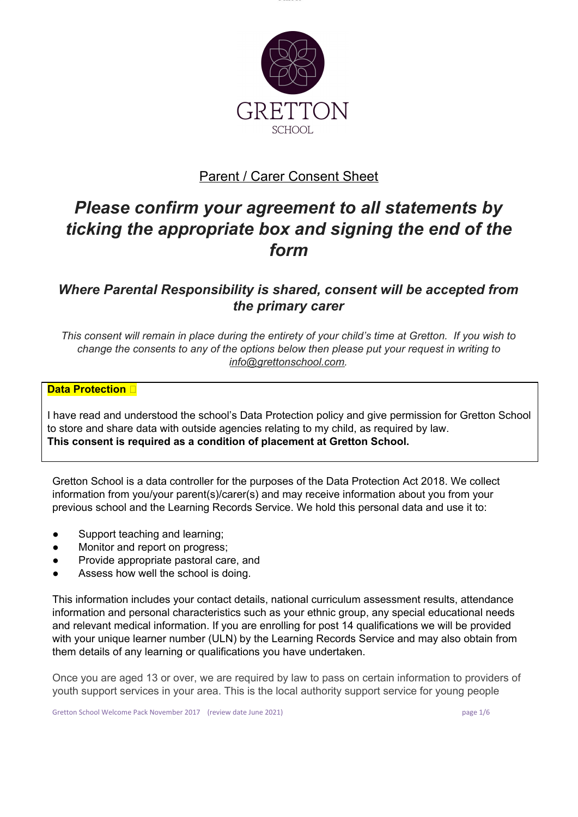

# **Parent / Carer Consent Sheet**

# *Please confirm your agreement to all statements by ticking the appropriate box and signing the end of the form*

# *Where Parental Responsibility is shared, consent will be accepted from the primary carer*

This consent will remain in place during the entirety of your child's time at Gretton. If you wish to *change the consents to any of the options below then please put your request in writing to [info@grettonschool.com](mailto:info@grettonschool.com).*

# **Data Protection**

I have read and understood the school's Data Protection policy and give permission for Gretton School to store and share data with outside agencies relating to my child, as required by law. **This consent is required as a condition of placement at Gretton School.**

Gretton School is a data controller for the purposes of the Data Protection Act 2018. We collect information from you/your parent(s)/carer(s) and may receive information about you from your previous school and the Learning Records Service. We hold this personal data and use it to:

- Support teaching and learning;
- Monitor and report on progress;
- Provide appropriate pastoral care, and
- Assess how well the school is doing.

This information includes your contact details, national curriculum assessment results, attendance information and personal characteristics such as your ethnic group, any special educational needs and relevant medical information. If you are enrolling for post 14 qualifications we will be provided with your unique learner number (ULN) by the Learning Records Service and may also obtain from them details of any learning or qualifications you have undertaken.

Once you are aged 13 or over, we are required by law to pass on certain information to providers of youth support services in your area. This is the local authority support service for young people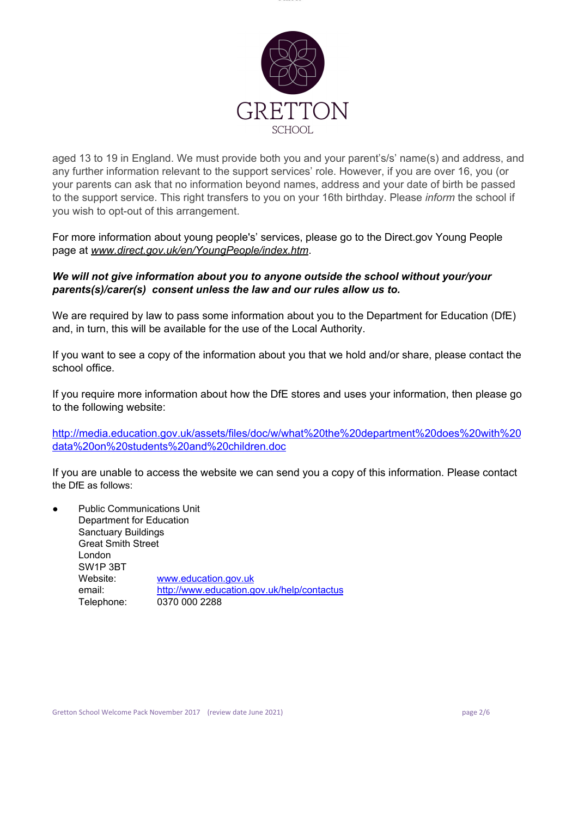

aged 13 to 19 in England. We must provide both you and your parent's/s' name(s) and address, and any further information relevant to the support services' role. However, if you are over 16, you (or your parents can ask that no information beyond names, address and your date of birth be passed to the support service. This right transfers to you on your 16th birthday. Please *inform* the school if you wish to opt-out of this arrangement.

For more information about young people's' services, please go to the Direct.gov Young People page at *[www.direct.gov.uk/en/YoungPeople/index.htm](http://www.direct.gov.uk/en/YoungPeople/index.htm)*.

# *We will not give information about you to anyone outside the school without your/your parents(s)/carer(s) consent unless the law and our rules allow us to.*

We are required by law to pass some information about you to the Department for Education (DfE) and, in turn, this will be available for the use of the Local Authority.

If you want to see a copy of the information about you that we hold and/or share, please contact the school office.

If you require more information about how the DfE stores and uses your information, then please go to the following website:

[http://media.education.gov.uk/assets/files/doc/w/what%20the%20department%20does%20with%20](http://media.education.gov.uk/assets/files/doc/w/what%20the%20department%20does%20with%20data%20on%20pupils%20and%20children.doc) [data%20on%20students%20and%20children.doc](http://media.education.gov.uk/assets/files/doc/w/what%20the%20department%20does%20with%20data%20on%20pupils%20and%20children.doc)

If you are unable to access the website we can send you a copy of this information. Please contact the DfE as follows:

**Public Communications Unit** Department for Education Sanctuary Buildings Great Smith Street London SW1P 3BT Website: [www.education.gov.uk](http://www.education.gov.uk/) email: <http://www.education.gov.uk/help/contactus> Telephone: 0370 000 2288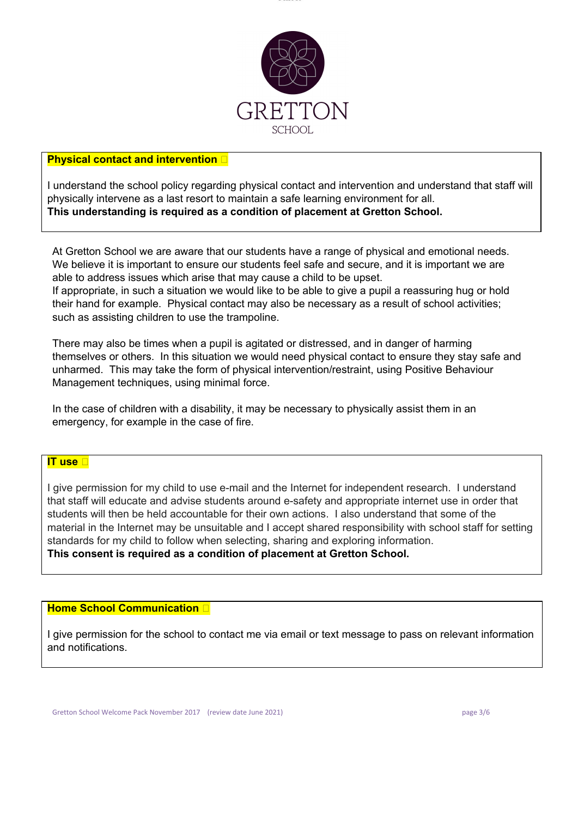

### **Physical contact and intervention**

I understand the school policy regarding physical contact and intervention and understand that staff will physically intervene as a last resort to maintain a safe learning environment for all. **This understanding is required as a condition of placement at Gretton School.**

At Gretton School we are aware that our students have a range of physical and emotional needs. We believe it is important to ensure our students feel safe and secure, and it is important we are able to address issues which arise that may cause a child to be upset. If appropriate, in such a situation we would like to be able to give a pupil a reassuring hug or hold their hand for example. Physical contact may also be necessary as a result of school activities; such as assisting children to use the trampoline.

There may also be times when a pupil is agitated or distressed, and in danger of harming themselves or others. In this situation we would need physical contact to ensure they stay safe and unharmed. This may take the form of physical intervention/restraint, using Positive Behaviour Management techniques, using minimal force.

In the case of children with a disability, it may be necessary to physically assist them in an emergency, for example in the case of fire.

#### **IT use**

I give permission for my child to use e-mail and the Internet for independent research. I understand that staff will educate and advise students around e-safety and appropriate internet use in order that students will then be held accountable for their own actions. I also understand that some of the material in the Internet may be unsuitable and I accept shared responsibility with school staff for setting standards for my child to follow when selecting, sharing and exploring information. **This consent is required as a condition of placement at Gretton School.**

#### **Home School Communication**

I give permission for the school to contact me via email or text message to pass on relevant information and notifications.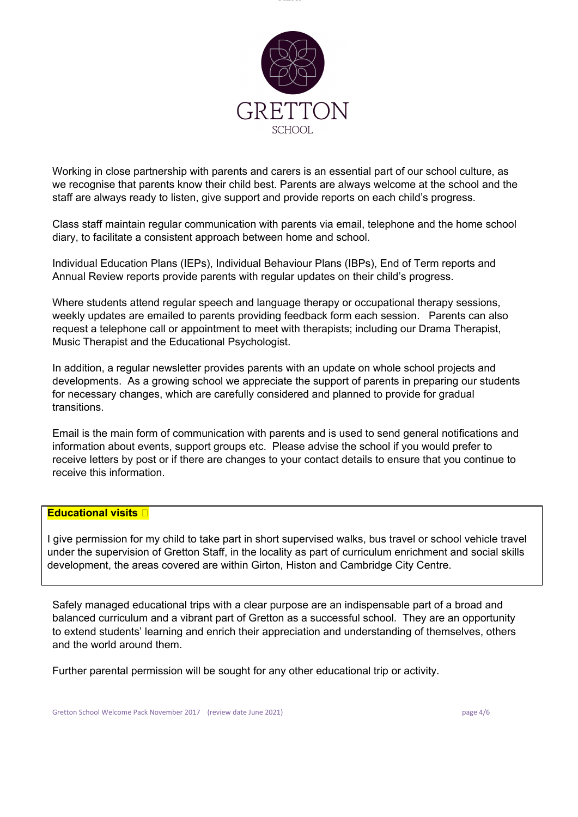

Working in close partnership with parents and carers is an essential part of our school culture, as we recognise that parents know their child best. Parents are always welcome at the school and the staff are always ready to listen, give support and provide reports on each child's progress.

Class staff maintain regular communication with parents via email, telephone and the home school diary, to facilitate a consistent approach between home and school.

Individual Education Plans (IEPs), Individual Behaviour Plans (IBPs), End of Term reports and Annual Review reports provide parents with regular updates on their child's progress.

Where students attend regular speech and language therapy or occupational therapy sessions, weekly updates are emailed to parents providing feedback form each session. Parents can also request a telephone call or appointment to meet with therapists; including our Drama Therapist, Music Therapist and the Educational Psychologist.

In addition, a regular newsletter provides parents with an update on whole school projects and developments. As a growing school we appreciate the support of parents in preparing our students for necessary changes, which are carefully considered and planned to provide for gradual transitions.

Email is the main form of communication with parents and is used to send general notifications and information about events, support groups etc. Please advise the school if you would prefer to receive letters by post or if there are changes to your contact details to ensure that you continue to receive this information.

## **Educational visits**

I give permission for my child to take part in short supervised walks, bus travel or school vehicle travel under the supervision of Gretton Staff, in the locality as part of curriculum enrichment and social skills development, the areas covered are within Girton, Histon and Cambridge City Centre.

Safely managed educational trips with a clear purpose are an indispensable part of a broad and balanced curriculum and a vibrant part of Gretton as a successful school. They are an opportunity to extend students' learning and enrich their appreciation and understanding of themselves, others and the world around them.

Further parental permission will be sought for any other educational trip or activity.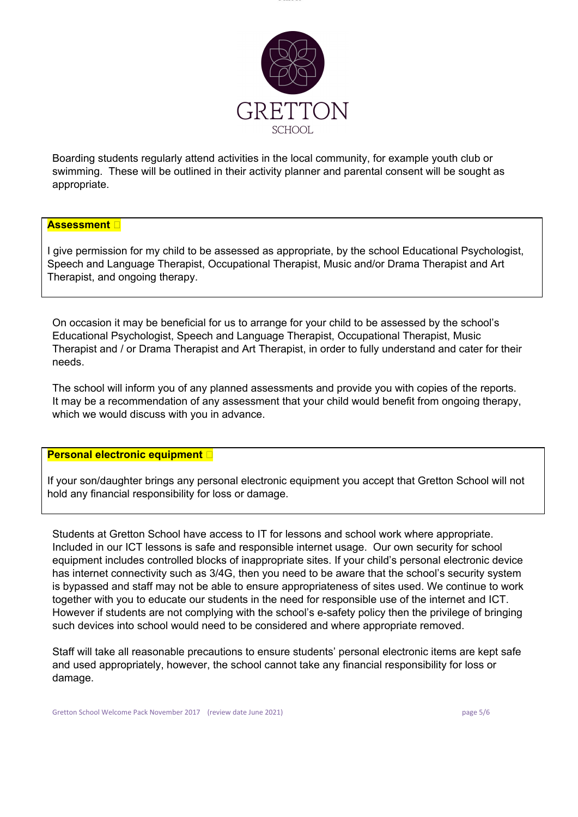

Boarding students regularly attend activities in the local community, for example youth club or swimming. These will be outlined in their activity planner and parental consent will be sought as appropriate.

## **Assessment**

I give permission for my child to be assessed as appropriate, by the school Educational Psychologist, Speech and Language Therapist, Occupational Therapist, Music and/or Drama Therapist and Art Therapist, and ongoing therapy.

On occasion it may be beneficial for us to arrange for your child to be assessed by the school's Educational Psychologist, Speech and Language Therapist, Occupational Therapist, Music Therapist and / or Drama Therapist and Art Therapist, in order to fully understand and cater for their needs.

The school will inform you of any planned assessments and provide you with copies of the reports. It may be a recommendation of any assessment that your child would benefit from ongoing therapy, which we would discuss with you in advance.

#### **Personal electronic equipment**

If your son/daughter brings any personal electronic equipment you accept that Gretton School will not hold any financial responsibility for loss or damage.

Students at Gretton School have access to IT for lessons and school work where appropriate. Included in our ICT lessons is safe and responsible internet usage. Our own security for school equipment includes controlled blocks of inappropriate sites. If your child's personal electronic device has internet connectivity such as 3/4G, then you need to be aware that the school's security system is bypassed and staff may not be able to ensure appropriateness of sites used. We continue to work together with you to educate our students in the need for responsible use of the internet and ICT. However if students are not complying with the school's e-safety policy then the privilege of bringing such devices into school would need to be considered and where appropriate removed.

Staff will take all reasonable precautions to ensure students' personal electronic items are kept safe and used appropriately, however, the school cannot take any financial responsibility for loss or damage.